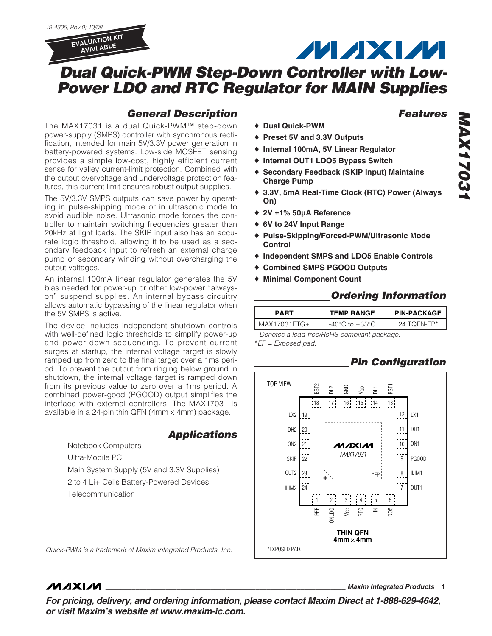

## **General Description**

The MAX17031 is a dual Quick-PWM™ step-down power-supply (SMPS) controller with synchronous rectification, intended for main 5V/3.3V power generation in battery-powered systems. Low-side MOSFET sensing provides a simple low-cost, highly efficient current sense for valley current-limit protection. Combined with the output overvoltage and undervoltage protection features, this current limit ensures robust output supplies.

The 5V/3.3V SMPS outputs can save power by operating in pulse-skipping mode or in ultrasonic mode to avoid audible noise. Ultrasonic mode forces the controller to maintain switching frequencies greater than 20kHz at light loads. The SKIP input also has an accurate logic threshold, allowing it to be used as a secondary feedback input to refresh an external charge pump or secondary winding without overcharging the output voltages.

An internal 100mA linear regulator generates the 5V bias needed for power-up or other low-power "alwayson" suspend supplies. An internal bypass circuitry allows automatic bypassing of the linear regulator when the 5V SMPS is active.

The device includes independent shutdown controls with well-defined logic thresholds to simplify power-up and power-down sequencing. To prevent current surges at startup, the internal voltage target is slowly ramped up from zero to the final target over a 1ms period. To prevent the output from ringing below ground in shutdown, the internal voltage target is ramped down from its previous value to zero over a 1ms period. A combined power-good (PGOOD) output simplifies the interface with external controllers. The MAX17031 is available in a 24-pin thin QFN (4mm x 4mm) package.

## **Applications**

Notebook Computers Ultra-Mobile PC Main System Supply (5V and 3.3V Supplies) 2 to 4 Li+ Cells Battery-Powered Devices Telecommunication

**Features**

- ♦ **Dual Quick-PWM**
- ♦ **Preset 5V and 3.3V Outputs**
- ♦ **Internal 100mA, 5V Linear Regulator**
- ♦ **Internal OUT1 LDO5 Bypass Switch**
- ♦ **Secondary Feedback (SKIP Input) Maintains Charge Pump**
- ♦ **3.3V, 5mA Real-Time Clock (RTC) Power (Always On)**

**MAXM** 

- ♦ **2V ±1% 50µA Reference**
- ♦ **6V to 24V Input Range**
- ♦ **Pulse-Skipping/Forced-PWM/Ultrasonic Mode Control**
- ♦ **Independent SMPS and LDO5 Enable Controls**
- ♦ **Combined SMPS PGOOD Outputs**
- ♦ **Minimal Component Count**

## **Ordering Information**

| <b>PART</b>     | <b>TEMP RANGE</b> | <b>PIN-PACKAGE</b> |
|-----------------|-------------------|--------------------|
| $IMAX17031ETG+$ | -40°C to +85°C    | 24 TOFN-EP*        |

+Denotes a lead-free/RoHS-compliant package. \*EP = Exposed pad.

## **Pin Configuration**



Quick-PWM is a trademark of Maxim Integrated Products, Inc.

## **MAXM**

**\_\_\_\_\_\_\_\_\_\_\_\_\_\_\_\_\_\_\_\_\_\_\_\_\_\_\_\_\_\_\_\_\_\_\_\_\_\_\_\_\_\_\_\_\_\_\_\_\_\_\_\_\_\_\_\_\_\_\_\_\_\_\_\_ Maxim Integrated Products 1**

**For pricing, delivery, and ordering information, please contact Maxim Direct at 1-888-629-4642, or visit Maxim's website at www.maxim-ic.com.**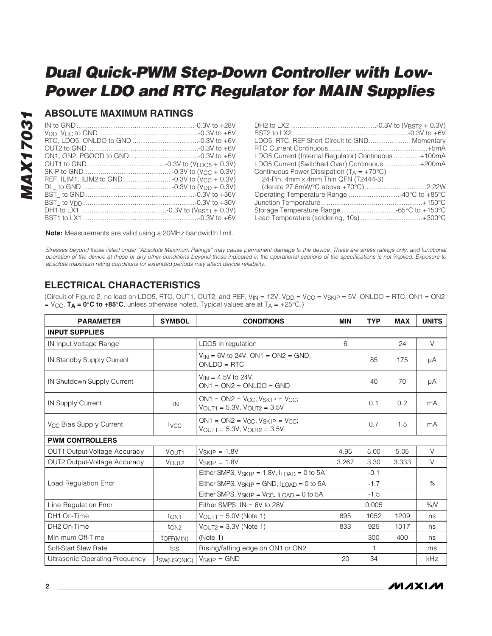## **ABSOLUTE MAXIMUM RATINGS**

| LDO5, RTC, REF Short Circuit to GNDMomentary          |  |
|-------------------------------------------------------|--|
|                                                       |  |
| LDO5 Current (Internal Regulator) Continuous +100mA   |  |
| LDO5 Current (Switched Over) Continuous +200mA        |  |
| Continuous Power Dissipation ( $T_A = +70^{\circ}C$ ) |  |
| 24-Pin, 4mm x 4mm Thin QFN (T2444-3)                  |  |
|                                                       |  |
| Operating Temperature Range 40°C to +85°C             |  |
|                                                       |  |
| Storage Temperature Range -65°C to +150°C             |  |
| Lead Temperature (soldering, 10s) +300°C              |  |

**Note:** Measurements are valid using a 20MHz bandwidth limit.

Stresses beyond those listed under "Absolute Maximum Ratings" may cause permanent damage to the device. These are stress ratings only, and functional operation of the device at these or any other conditions beyond those indicated in the operational sections of the specifications is not implied. Exposure to absolute maximum rating conditions for extended periods may affect device reliability.

## **ELECTRICAL CHARACTERISTICS**

(Circuit of Figure 2, no load on LDO5, RTC, OUT1, OUT2, and REF,  $V_{IN} = 12V$ ,  $V_{DD} = V_{CC} = V_{SKIP} = 5V$ , ONLDO = RTC, ON1 = ON2  $=$  V<sub>CC</sub>, **T<sub>A</sub>** = 0°C to +85°C, unless otherwise noted. Typical values are at T<sub>A</sub> = +25°C.)

| <b>PARAMETER</b>                    | <b>SYMBOL</b>     | <b>CONDITIONS</b>                                                                                   | <b>MIN</b> | <b>TYP</b> | <b>MAX</b> | <b>UNITS</b> |
|-------------------------------------|-------------------|-----------------------------------------------------------------------------------------------------|------------|------------|------------|--------------|
| <b>INPUT SUPPLIES</b>               |                   |                                                                                                     |            |            |            |              |
| IN Input Voltage Range              |                   | LDO5 in regulation                                                                                  | 6          |            | 24         | $\vee$       |
| IN Standby Supply Current           |                   | $V_{IN} = 6V$ to 24V, ON1 = ON2 = GND,<br>$ONLDO = RTC$                                             |            | 85         | 175        | μA           |
| IN Shutdown Supply Current          |                   | $V_{IN} = 4.5V$ to 24V,<br>$ON1 = ON2 = ONLDO = GND$                                                |            | 40         | 70         | μA           |
| IN Supply Current                   | <sup>I</sup> IN   | $ON1 = ON2 = V_{CC}$ , $V_{SKIP} = V_{CC}$ ;<br>$V_{OUT1} = 5.3V, V_{OUT2} = 3.5V$                  |            | 0.1        | 0.2        | mA           |
| V <sub>CC</sub> Bias Supply Current | <b>I</b> vcc      | $ON1 = ON2 = V_{CC}$ , $V_{SKIP} = V_{CC}$ ;<br>$V_{\text{OUT1}} = 5.3V$ , $V_{\text{OUT2}} = 3.5V$ |            | 0.7        | 1.5        | mA           |
| <b>PWM CONTROLLERS</b>              |                   |                                                                                                     |            |            |            |              |
| OUT1 Output-Voltage Accuracy        | VOUT <sub>1</sub> | $V_{SKIP} = 1.8V$                                                                                   | 4.95       | 5.00       | 5.05       | $\vee$       |
| OUT2 Output-Voltage Accuracy        | VOUT <sub>2</sub> | $V_{SKIP} = 1.8V$                                                                                   | 3.267      | 3.30       | 3.333      | V            |
|                                     |                   | Either SMPS, $V_{SKIP} = 1.8V$ , $I_{LOAD} = 0$ to 5A                                               |            | $-0.1$     |            |              |
| <b>Load Regulation Error</b>        |                   | Either SMPS, $V_{SKIP} = GND$ , $I_{LOAD} = 0$ to 5A                                                |            | $-1.7$     |            | $\%$         |
|                                     |                   | Either SMPS, $V_{SKIP} = V_{CC}$ , $I_{LOAD} = 0$ to 5A                                             |            | $-1.5$     |            |              |
| Line Regulation Error               |                   | Either SMPS, $IN = 6V$ to 28V                                                                       |            | 0.005      |            | %N           |
| DH1 On-Time                         | t <sub>ON1</sub>  | $V_{OUT1} = 5.0V$ (Note 1)                                                                          | 895        | 1052       | 1209       | ns           |
| DH <sub>2</sub> On-Time             | t <sub>ON2</sub>  | $V_{\text{OUT2}} = 3.3V$ (Note 1)                                                                   | 833        | 925        | 1017       | ns           |
| Minimum Off-Time                    | toff(MIN)         | (Note 1)                                                                                            |            | 300        | 400        | ns           |
| Soft-Start Slew Rate                | tss               | Rising/falling edge on ON1 or ON2                                                                   |            | 1          |            | ms           |
| Ultrasonic Operating Frequency      | fsw(USONIC)       | $V_{SKIP} = GND$                                                                                    | 20         | 34         |            | kHz          |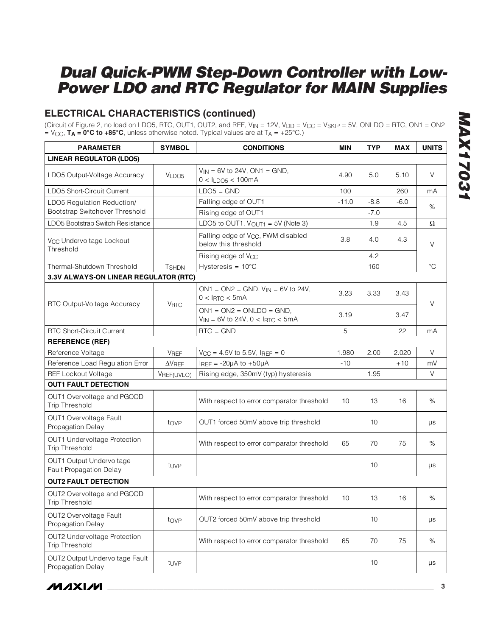## **ELECTRICAL CHARACTERISTICS (continued)**

(Circuit of Figure 2, no load on LDO5, RTC, OUT1, OUT2, and REF,  $V_{IN} = 12V$ ,  $V_{DD} = V_{CC} = V_{SKIP} = 5V$ , ONLDO = RTC, ON1 = ON2  $=$  V<sub>CC</sub>, **T<sub>A</sub>** = 0°C to +85°C, unless otherwise noted. Typical values are at T<sub>A</sub> = +25°C.)

| <b>PARAMETER</b>                                      | <b>SYMBOL</b>  | <b>CONDITIONS</b>                                                        | MIN             | <b>TYP</b> | <b>MAX</b> | <b>UNITS</b> |
|-------------------------------------------------------|----------------|--------------------------------------------------------------------------|-----------------|------------|------------|--------------|
| <b>LINEAR REGULATOR (LDO5)</b>                        |                |                                                                          |                 |            |            |              |
| LDO5 Output-Voltage Accuracy                          | VLDO5          | $V_{IN} = 6V$ to 24V, ON1 = GND,<br>$0 < I_{LDO5} < 100mA$               | 4.90            | 5.0        | 5.10       | V            |
| LDO5 Short-Circuit Current                            |                | $LDO5 = GND$                                                             | 100             |            | 260        | mA           |
| LDO5 Regulation Reduction/                            |                | Falling edge of OUT1                                                     | $-11.0$         | $-8.8$     | $-6.0$     | $\%$         |
| Bootstrap Switchover Threshold                        |                | Rising edge of OUT1                                                      |                 | $-7.0$     |            |              |
| LDO5 Bootstrap Switch Resistance                      |                | LDO5 to OUT1, $V_{\text{OUT1}} = 5V$ (Note 3)                            |                 | 1.9        | 4.5        | Ω            |
| V <sub>CC</sub> Undervoltage Lockout<br>Threshold     |                | Falling edge of V <sub>CC</sub> , PWM disabled<br>below this threshold   | 3.8             | 4.0        | 4.3        | V            |
|                                                       |                | Rising edge of V <sub>CC</sub>                                           |                 | 4.2        |            |              |
| Thermal-Shutdown Threshold                            | <b>TSHDN</b>   | Hysteresis = $10^{\circ}$ C                                              |                 | 160        |            | $^{\circ}C$  |
| 3.3V ALWAYS-ON LINEAR REGULATOR (RTC)                 |                |                                                                          |                 |            |            |              |
| RTC Output-Voltage Accuracy                           |                | $ON1 = ON2 = GND, V_{IN} = 6V$ to 24V,<br>$0 < I$ RTC < 5mA              | 3.23            | 3.33       | 3.43       | V            |
|                                                       | <b>VRTC</b>    | $ON1 = ON2 = ONLDO = GND$ ,<br>$V_{IN} = 6V$ to 24V, 0 < $I_{RTC}$ < 5mA | 3.19            |            | 3.47       |              |
| <b>RTC Short-Circuit Current</b>                      |                | $RTC = GND$                                                              | 5               |            | 22         | mA           |
| <b>REFERENCE (REF)</b>                                |                |                                                                          |                 |            |            |              |
| Reference Voltage                                     | <b>VREF</b>    | $V_{CC} = 4.5V$ to 5.5V, IREF = 0                                        | 1.980           | 2.00       | 2.020      | V            |
| Reference Load Regulation Error                       | $\Delta V$ REF | IREF = $-20\mu A$ to $+50\mu A$                                          | $-10$           |            | $+10$      | mV           |
| <b>REF Lockout Voltage</b>                            | VREF(UVLO)     | Rising edge, 350mV (typ) hysteresis                                      |                 | 1.95       |            | V            |
| <b>OUT1 FAULT DETECTION</b>                           |                |                                                                          |                 |            |            |              |
| OUT1 Overvoltage and PGOOD<br><b>Trip Threshold</b>   |                | With respect to error comparator threshold                               | 10              | 13         | 16         | $\%$         |
| OUT1 Overvoltage Fault<br>Propagation Delay           | tovp           | OUT1 forced 50mV above trip threshold                                    |                 | 10         |            | μs           |
| OUT1 Undervoltage Protection<br><b>Trip Threshold</b> |                | With respect to error comparator threshold                               | 65              | 70         | 75         | $\%$         |
| OUT1 Output Undervoltage<br>Fault Propagation Delay   | tuvp           |                                                                          |                 | 10         |            | μs           |
| <b>OUT2 FAULT DETECTION</b>                           |                |                                                                          |                 |            |            |              |
| OUT2 Overvoltage and PGOOD<br><b>Trip Threshold</b>   |                | With respect to error comparator threshold                               | 10 <sup>°</sup> | 13         | 16         | $\%$         |
| OUT2 Overvoltage Fault<br>Propagation Delay           | tove           | OUT2 forced 50mV above trip threshold                                    |                 | 10         |            | μs           |
| OUT2 Undervoltage Protection<br><b>Trip Threshold</b> |                | With respect to error comparator threshold                               | 65              | 70         | 75         | $\%$         |
| OUT2 Output Undervoltage Fault<br>Propagation Delay   | tuvp           |                                                                          |                 | 10         |            | μs           |

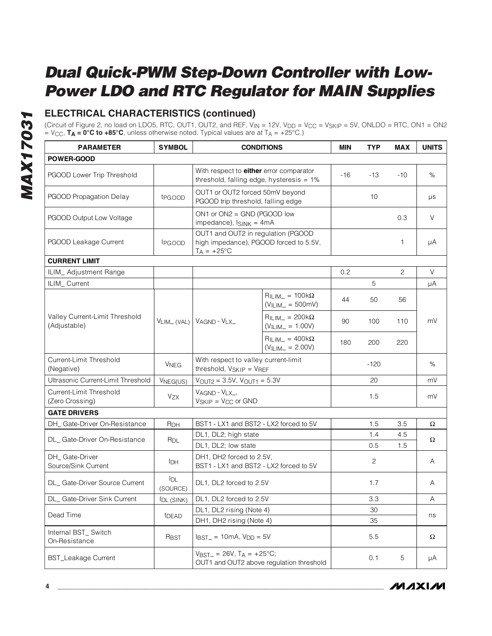## **ELECTRICAL CHARACTERISTICS (continued)**

(Circuit of Figure 2, no load on LDO5, RTC, OUT1, OUT2, and REF, V<sub>IN</sub> = 12V, V<sub>DD</sub> = V<sub>CC</sub> = V<sub>SKIP</sub> = 5V, ONLDO = RTC, ON1 = ON2 = VCC, **TA = 0°C to +85°C**, unless otherwise noted. Typical values are at TA = +25°C.)

| <b>PARAMETER</b>                               | <b>SYMBOL</b>          |                                                                                                      | <b>CONDITIONS</b>                                | <b>MIN</b> | <b>TYP</b> | <b>MAX</b> | <b>UNITS</b>              |
|------------------------------------------------|------------------------|------------------------------------------------------------------------------------------------------|--------------------------------------------------|------------|------------|------------|---------------------------|
| <b>POWER-GOOD</b>                              |                        |                                                                                                      |                                                  |            |            |            |                           |
| PGOOD Lower Trip Threshold                     |                        | With respect to <b>either</b> error comparator<br>threshold, falling edge, hysteresis $= 1\%$        |                                                  | -16        | $-13$      | $-10$      | $\%$                      |
| PGOOD Propagation Delay                        | t <sub>PGOOD</sub>     | OUT1 or OUT2 forced 50mV beyond<br>PGOOD trip threshold, falling edge                                |                                                  |            | 10         |            | μs                        |
| PGOOD Output Low Voltage                       |                        | ON1 or ON2 = GND (PGOOD low<br>impedance), $I_{SINK} = 4mA$                                          |                                                  |            |            | 0.3        | V                         |
| PGOOD Leakage Current                          | <b>IPGOOD</b>          | OUT1 and OUT2 in regulation (PGOOD<br>high impedance), PGOOD forced to 5.5V,<br>$T_A = +25^{\circ}C$ |                                                  |            |            | 1          | μA                        |
| <b>CURRENT LIMIT</b>                           |                        |                                                                                                      |                                                  |            |            |            |                           |
| ILIM_ Adjustment Range                         |                        |                                                                                                      |                                                  | 0.2        |            | 2          | V                         |
| ILIM_Current                                   |                        |                                                                                                      |                                                  |            | 5          |            | μA                        |
|                                                |                        |                                                                                                      | $R_{ILIM-} = 100k\Omega$<br>$(VILIM = 500mV)$    | 44         | 50         | 56         |                           |
| Valley Current-Limit Threshold<br>(Adjustable) |                        | $V_{LIM}$ (VAL) $V_{AGND}$ - $V_{LX}$                                                                | $R_{ILIM-} = 200k\Omega$<br>$(VILIM = 1.00V)$    | 90         | 100        | 110        | mV                        |
|                                                |                        |                                                                                                      | $R_{ILIM-} = 400k\Omega$<br>$(VILM_{-} = 2.00V)$ | 180        | 200        | 220        |                           |
| Current-Limit Threshold<br>(Negative)          | <b>V<sub>NEG</sub></b> | With respect to valley current-limit<br>threshold, V <sub>SKIP</sub> = VREF                          |                                                  |            | $-120$     |            | %                         |
| Ultrasonic Current-Limit Threshold             | VNEG(US)               | $V_{OUT2} = 3.5V$ , $V_{OUT1} = 5.3V$                                                                |                                                  |            | 20         |            | mV                        |
| Current-Limit Threshold<br>(Zero Crossing)     | Vzx                    | VAGND - VLX.<br>$V_{SKIP} = V_{CC}$ or GND                                                           |                                                  |            | 1.5        |            | mV                        |
| <b>GATE DRIVERS</b>                            |                        |                                                                                                      |                                                  |            |            |            |                           |
| DH_Gate-Driver On-Resistance                   | R <sub>DH</sub>        | BST1 - LX1 and BST2 - LX2 forced to 5V                                                               |                                                  |            | 1.5        | 3.5        | Ω                         |
| DL_Gate-Driver On-Resistance                   | $R_{DL}$               | DL1, DL2; high state                                                                                 |                                                  |            | 1.4        | 4.5        | Ω                         |
|                                                |                        | DL1, DL2; low state                                                                                  |                                                  |            | 0.5        | 1.5        |                           |
| DH_Gate-Driver<br>Source/Sink Current          | <b>I</b> DH            | DH1, DH2 forced to 2.5V,<br>BST1 - LX1 and BST2 - LX2 forced to 5V                                   |                                                  |            | 2          |            | Α                         |
| DL_ Gate-Driver Source Current                 | $I_{DL}$<br>(SOURCE)   | DL1, DL2 forced to 2.5V                                                                              |                                                  |            | 1.7        |            | Α                         |
| DL_Gate-Driver Sink Current                    | I <sub>DL</sub> (SINK) | DL1, DL2 forced to 2.5V                                                                              |                                                  |            | 3.3        |            | $\boldsymbol{\mathsf{A}}$ |
| Dead Time                                      |                        | DL1, DL2 rising (Note 4)                                                                             |                                                  |            | 30         |            | ns                        |
|                                                | t <sub>DEAD</sub>      | DH1, DH2 rising (Note 4)                                                                             |                                                  |            | 35         |            |                           |
| Internal BST_Switch<br>On-Resistance           | RBST                   | $I_{\text{BST}} = 10 \text{mA}$ , $V_{\text{DD}} = 5V$                                               |                                                  |            | 5.5        |            | Ω                         |
| <b>BST_Leakage Current</b>                     |                        | $V_{\text{BST}} = 26V$ , $T_A = +25^{\circ}C$ ;                                                      | OUT1 and OUT2 above regulation threshold         |            | 0.1        | 5          | μA                        |

**MAXIM**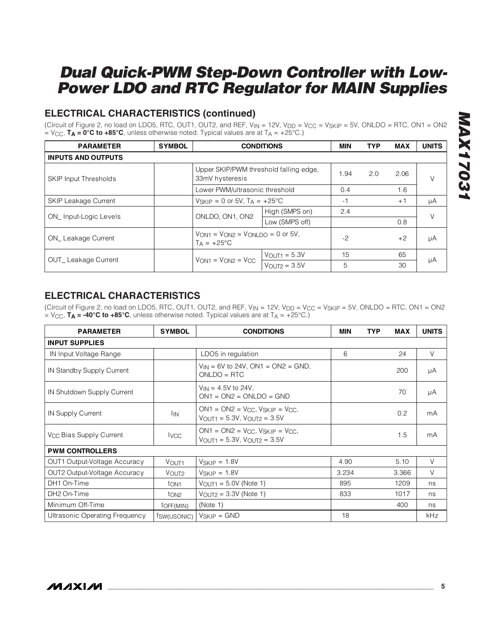## **ELECTRICAL CHARACTERISTICS (continued)**

(Circuit of Figure 2, no load on LDO5, RTC, OUT1, OUT2, and REF,  $V_{IN} = 12V$ ,  $V_{DD} = V_{CC} = V_{SKIP} = 5V$ , ONLDO = RTC, ON1 = ON2  $= V_{\text{CC}}$ , **T<sub>A</sub>** = 0°C to +85°C, unless otherwise noted. Typical values are at  $T_A = +25^{\circ}$ C.)

| <b>PARAMETER</b>             | <b>SYMBOL</b>                | <b>CONDITIONS</b>                                                                           |                                            | <b>MIN</b> | <b>TYP</b> | <b>MAX</b> | <b>UNITS</b> |
|------------------------------|------------------------------|---------------------------------------------------------------------------------------------|--------------------------------------------|------------|------------|------------|--------------|
| <b>INPUTS AND OUTPUTS</b>    |                              |                                                                                             |                                            |            |            |            |              |
| <b>SKIP Input Thresholds</b> |                              | Upper SKIP/PWM threshold falling edge,<br>33mV hysteresis<br>Lower PWM/ultrasonic threshold |                                            | 1.94       | 2.0        | 2.06       | $\vee$       |
|                              |                              |                                                                                             |                                            | 0.4        |            | 1.6        |              |
| <b>SKIP Leakage Current</b>  |                              |                                                                                             | $V_{SKIP} = 0$ or 5V, $T_A = +25^{\circ}C$ |            |            | $+1$       | μA           |
|                              |                              | ONLDO, ON1, ON2                                                                             | High (SMPS on)                             | 2.4        |            |            | $\vee$       |
| ON_Input-Logic Levels        |                              |                                                                                             | Low (SMPS off)                             |            |            | 0.8        |              |
| ON Leakage Current           |                              | $V_{OM1} = V_{OM2} = V_{OMI}$ DQ = 0 or 5V.<br>$T_A = +25$ °C                               |                                            | $-2$       |            | $+2$       | μA           |
| <b>OUT_Leakage Current</b>   |                              |                                                                                             | $V_{\text{OUT1}} = 5.3V$                   | 15         |            | 65         |              |
|                              | $V_{ON1} = V_{ON2} = V_{CC}$ | $V_{OUT2} = 3.5V$                                                                           | 5                                          |            | 30         | μA         |              |

## **ELECTRICAL CHARACTERISTICS**

(Circuit of Figure 2, no load on LDO5, RTC, OUT1, OUT2, and REF,  $V_{IN} = 12V$ ,  $V_{DD} = V_{CC} = V_{SKIP} = 5V$ , ONLDO = RTC, ON1 = ON2  $=$  V<sub>CC</sub>, **T<sub>A</sub>** = -40°C to +85°C, unless otherwise noted. Typical values are at T<sub>A</sub> = +25°C.)

| <b>PARAMETER</b>                    | <b>SYMBOL</b>       | <b>CONDITIONS</b>                                                                                 | <b>MIN</b> | <b>TYP</b> | <b>MAX</b> | <b>UNITS</b> |
|-------------------------------------|---------------------|---------------------------------------------------------------------------------------------------|------------|------------|------------|--------------|
| <b>INPUT SUPPLIES</b>               |                     |                                                                                                   |            |            |            |              |
| IN Input Voltage Range              |                     | LDO5 in regulation                                                                                | 6          |            | 24         | $\vee$       |
| IN Standby Supply Current           |                     | $V_{IN}$ = 6V to 24V, ON1 = ON2 = GND,<br>$ONLDO = RTC$                                           |            |            | 200        | μA           |
| IN Shutdown Supply Current          |                     | $V_{IN} = 4.5V$ to 24V,<br>$ON1 = ON2 = ONLDO = GND$                                              |            |            | 70         | μA           |
| IN Supply Current                   | <sup>I</sup> IN     | $ON1 = ON2 = V_{CC}$ , $V_{SKIP} = V_{CC}$<br>$V_{\text{OUT1}} = 5.3V$ , $V_{\text{OUT2}} = 3.5V$ |            |            | 0.2        | mA           |
| V <sub>CC</sub> Bias Supply Current | <b>I</b> vcc        | $ON1 = ON2 = V_{CC}$ , $V_{SKIP} = V_{CC}$<br>$V_{\text{OUT1}} = 5.3V$ , $V_{\text{OUT2}} = 3.5V$ |            |            | 1.5        | mA           |
| <b>PWM CONTROLLERS</b>              |                     |                                                                                                   |            |            |            |              |
| OUT1 Output-Voltage Accuracy        | VOUT <sub>1</sub>   | $V_{SKIP} = 1.8V$                                                                                 | 4.90       |            | 5.10       | V            |
| OUT2 Output-Voltage Accuracy        | VOUT <sub>2</sub>   | $V_{SKIP} = 1.8V$                                                                                 | 3.234      |            | 3.366      | $\vee$       |
| DH1 On-Time                         | ton <sub>1</sub>    | $V_{\text{OUT1}} = 5.0V$ (Note 1)                                                                 | 895        |            | 1209       | ns           |
| DH <sub>2</sub> On-Time             | t <sub>ON2</sub>    | $V_{OUT2} = 3.3V$ (Note 1)                                                                        | 833        |            | 1017       | ns           |
| Minimum Off-Time                    | toff(MIN)           | (Note 1)                                                                                          |            |            | 400        | ns           |
| Ultrasonic Operating Frequency      | <i>fsw</i> (USONIC) | $V_{SKIP} = GND$                                                                                  | 18         |            |            | kHz          |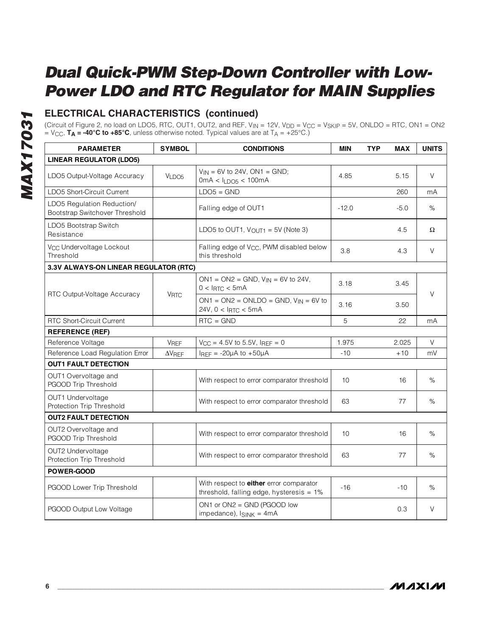## **ELECTRICAL CHARACTERISTICS (continued)**

(Circuit of Figure 2, no load on LDO5, RTC, OUT1, OUT2, and REF, V<sub>IN</sub> = 12V, V<sub>DD</sub> = V<sub>CC</sub> = V<sub>SKIP</sub> = 5V, ONLDO = RTC, ON1 = ON2<br>= V<sub>CC</sub>, **T<sub>A</sub> = -40°C to +85°C**, unless otherwise noted. Typical values are at T<sub>A</sub> = +25°

| <b>PARAMETER</b>                                             | <b>SYMBOL</b>     | <b>CONDITIONS</b>                                                                                   |         | <b>TYP</b> | <b>MAX</b> | <b>UNITS</b> |
|--------------------------------------------------------------|-------------------|-----------------------------------------------------------------------------------------------------|---------|------------|------------|--------------|
| <b>LINEAR REGULATOR (LDO5)</b>                               |                   |                                                                                                     |         |            |            |              |
| LDO5 Output-Voltage Accuracy                                 | VLDO <sub>5</sub> | $V_{IN} = 6V$ to 24V, ON1 = GND;<br>4.85<br>$0mA < I_{LDOS} < 100mA$                                |         | 5.15       | V          |              |
| LDO5 Short-Circuit Current                                   |                   | $LDO5 = GND$                                                                                        |         |            | 260        | mA           |
| LDO5 Regulation Reduction/<br>Bootstrap Switchover Threshold |                   | Falling edge of OUT1                                                                                | $-12.0$ |            | $-5.0$     | $\%$         |
| LDO5 Bootstrap Switch<br>Resistance                          |                   | LDO5 to OUT1, $V_{\text{OUT1}} = 5V$ (Note 3)                                                       |         |            | 4.5        | Ω            |
| V <sub>CC</sub> Undervoltage Lockout<br>Threshold            |                   | Falling edge of V <sub>CC</sub> , PWM disabled below<br>this threshold                              | 3.8     |            | 4.3        | V            |
| 3.3V ALWAYS-ON LINEAR REGULATOR (RTC)                        |                   |                                                                                                     |         |            |            |              |
|                                                              |                   | $ON1 = ON2 = GND, V_{IN} = 6V$ to 24V,<br>$0 < I_{\text{RTC}} < 5 \text{mA}$                        | 3.18    |            | 3.45       |              |
| RTC Output-Voltage Accuracy                                  |                   | <b>V<sub>RTC</sub></b><br>$ON1 = ON2 = ONLDO = GND, VIN = 6V to$<br>24V, 0 < I <sub>RTC</sub> < 5mA | 3.16    |            | 3.50       | $\vee$       |
| <b>RTC Short-Circuit Current</b>                             |                   | $RTC = GND$                                                                                         | 5       |            | 22         | mA           |
| <b>REFERENCE (REF)</b>                                       |                   |                                                                                                     |         |            |            |              |
| Reference Voltage                                            | <b>VREF</b>       | $V_{CC} = 4.5V$ to 5.5V, IREF = 0                                                                   | 1.975   |            | 2.025      | V            |
| Reference Load Regulation Error                              | $\Delta V$ REF    | IREF = $-20\mu A$ to $+50\mu A$                                                                     | $-10$   |            | $+10$      | mV           |
| <b>OUT1 FAULT DETECTION</b>                                  |                   |                                                                                                     |         |            |            |              |
| OUT1 Overvoltage and<br>PGOOD Trip Threshold                 |                   | With respect to error comparator threshold                                                          | 10      |            | 16         | %            |
| OUT1 Undervoltage<br>Protection Trip Threshold               |                   | With respect to error comparator threshold                                                          | 63      |            | 77         | ℅            |
| <b>OUT2 FAULT DETECTION</b>                                  |                   |                                                                                                     |         |            |            |              |
| OUT2 Overvoltage and<br>PGOOD Trip Threshold                 |                   | With respect to error comparator threshold                                                          | 10      |            | 16         | %            |
| OUT2 Undervoltage<br>Protection Trip Threshold               |                   | With respect to error comparator threshold                                                          | 63      |            | 77         | %            |
| POWER-GOOD                                                   |                   |                                                                                                     |         |            |            |              |
| PGOOD Lower Trip Threshold                                   |                   | With respect to <b>either</b> error comparator<br>threshold, falling edge, hysteresis $= 1\%$       | $-16$   |            | $-10$      | %            |
| PGOOD Output Low Voltage                                     |                   | $ON1$ or $ON2 = GND$ (PGOOD low<br>impedance), $I_{SINK} = 4mA$                                     |         |            | 0.3        | V            |

**MAXIM**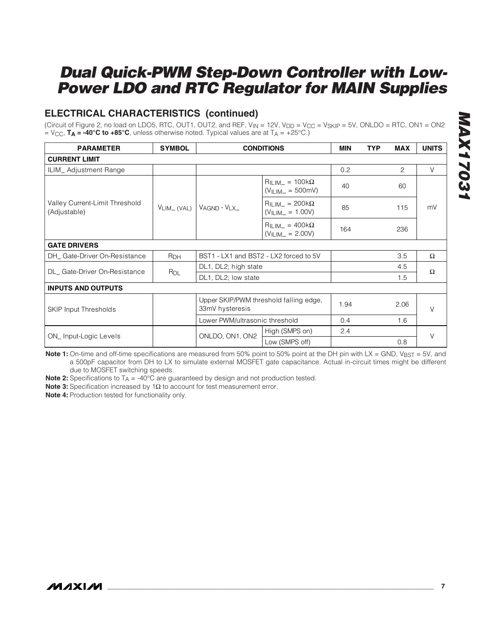## **ELECTRICAL CHARACTERISTICS (continued)**

(Circuit of Figure 2, no load on LDO5, RTC, OUT1, OUT2, and REF,  $V_{IN} = 12V$ ,  $V_{DD} = V_{CC} = V_{SKIP} = 5V$ , ONLDO = RTC, ON1 = ON2  $=$  V<sub>CC</sub>, **T<sub>A</sub>** = -40°C to +85°C, unless otherwise noted. Typical values are at  $T_A$  = +25°C.)

| <b>PARAMETER</b>                               | <b>SYMBOL</b>         |                                                                                             | <b>CONDITIONS</b>                              | <b>MIN</b> | <b>TYP</b> | <b>MAX</b> | <b>UNITS</b> |
|------------------------------------------------|-----------------------|---------------------------------------------------------------------------------------------|------------------------------------------------|------------|------------|------------|--------------|
| <b>CURRENT LIMIT</b>                           |                       |                                                                                             |                                                |            |            |            |              |
| ILIM_Adjustment Range                          |                       |                                                                                             |                                                | 0.2        |            | 2          | V            |
|                                                |                       |                                                                                             | $R_{ILIM} = 100k\Omega$<br>$(VII)/W- = 500$ mV | 40         |            | 60         |              |
| Valley Current-Limit Threshold<br>(Adjustable) | $V_{LIM}$ (VAL)       | $V_{AGND} - V_{LX}$                                                                         | $R_{ILIM-} = 200k\Omega$<br>$(VILIM = 1.00V)$  | 85         |            | 115        | mV           |
|                                                |                       |                                                                                             | $R_{ILIM-} = 400k\Omega$<br>$(VILM = 2.00V)$   | 164        |            | 236        |              |
| <b>GATE DRIVERS</b>                            |                       |                                                                                             |                                                |            |            |            |              |
| DH_Gate-Driver On-Resistance                   | <b>R<sub>DH</sub></b> | BST1 - LX1 and BST2 - LX2 forced to 5V                                                      |                                                |            |            | 3.5        | $\Omega$     |
| DL_Gate-Driver On-Resistance                   |                       | DL1, DL2; high state                                                                        |                                                |            |            | 4.5        | Ω            |
|                                                | R <sub>DL</sub>       | DL1, DL2; low state                                                                         |                                                |            |            | 1.5        |              |
| <b>INPUTS AND OUTPUTS</b>                      |                       |                                                                                             |                                                |            |            |            |              |
| <b>SKIP Input Thresholds</b>                   |                       | Upper SKIP/PWM threshold falling edge,<br>33mV hysteresis<br>Lower PWM/ultrasonic threshold |                                                | 1.94       |            | 2.06       | V            |
|                                                |                       |                                                                                             |                                                | 0.4        |            | 1.6        |              |
|                                                |                       | ONLDO, ON1, ON2                                                                             | High (SMPS on)                                 | 2.4        |            |            | $\vee$       |
| ON_Input-Logic Levels                          |                       |                                                                                             | Low (SMPS off)                                 |            |            | 0.8        |              |

**Note 1:** On-time and off-time specifications are measured from 50% point to 50% point at the DH pin with LX = GND, V<sub>BST</sub> = 5V, and a 500pF capacitor from DH to LX to simulate external MOSFET gate capacitance. Actual in-circuit times might be different due to MOSFET switching speeds.

**Note 2:** Specifications to  $T_A = -40^\circ \text{C}$  are guaranteed by design and not production tested.

**Note 3:** Specification increased by 1Ω to account for test measurement error.

**Note 4:** Production tested for functionality only.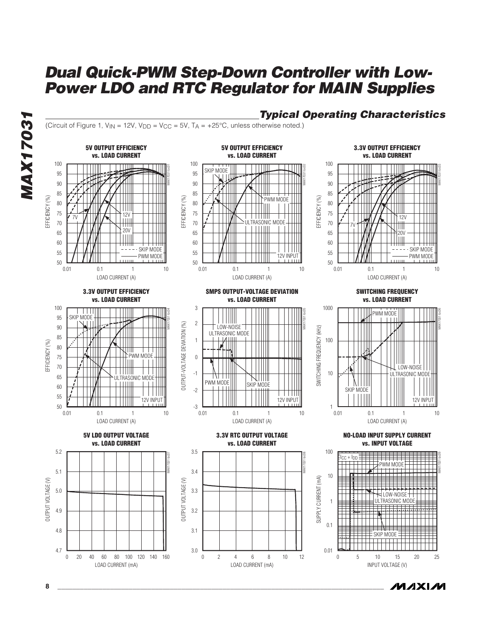

**8 \_\_\_\_\_\_\_\_\_\_\_\_\_\_\_\_\_\_\_\_\_\_\_\_\_\_\_\_\_\_\_\_\_\_\_\_\_\_\_\_\_\_\_\_\_\_\_\_\_\_\_\_\_\_\_\_\_\_\_\_\_\_\_\_\_\_\_\_\_\_\_\_\_\_\_\_\_\_\_\_\_\_\_\_\_\_\_**

### **Typical Operating Characteristics**

*/VI/IXI/VI*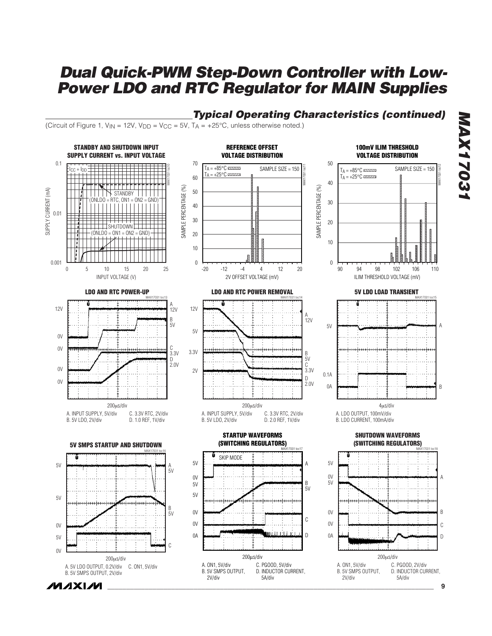

*IVI A* XI*IV*I

**\_\_\_\_\_\_\_\_\_\_\_\_\_\_\_\_\_\_\_\_\_\_\_\_\_\_\_\_\_\_\_\_\_\_\_\_\_\_\_\_\_\_\_\_\_\_\_\_\_\_\_\_\_\_\_\_\_\_\_\_\_\_\_\_\_\_\_\_\_\_\_\_\_\_\_\_\_\_\_\_\_\_\_\_\_\_\_ 9**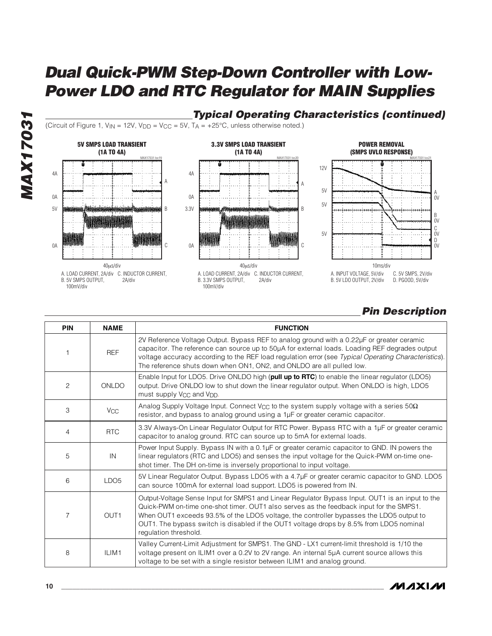

## **Typical Operating Characteristics (continued)**

(Circuit of Figure 1,  $V_{IN} = 12V$ ,  $V_{DD} = V_{CC} = 5V$ ,  $T_A = +25^{\circ}C$ , unless otherwise noted.)







## **Pin Description**

| <b>PIN</b>     | <b>NAME</b>      | <b>FUNCTION</b>                                                                                                                                                                                                                                                                                                                                                                                           |
|----------------|------------------|-----------------------------------------------------------------------------------------------------------------------------------------------------------------------------------------------------------------------------------------------------------------------------------------------------------------------------------------------------------------------------------------------------------|
|                | <b>REF</b>       | 2V Reference Voltage Output. Bypass REF to analog ground with a 0.22µF or greater ceramic<br>capacitor. The reference can source up to 50µA for external loads. Loading REF degrades output<br>voltage accuracy according to the REF load regulation error (see Typical Operating Characteristics).<br>The reference shuts down when ON1, ON2, and ONLDO are all pulled low.                              |
| $\overline{c}$ | ONLDO            | Enable Input for LDO5. Drive ONLDO high (pull up to RTC) to enable the linear regulator (LDO5)<br>output. Drive ONLDO low to shut down the linear regulator output. When ONLDO is high, LDO5<br>must supply V <sub>CC</sub> and V <sub>DD</sub> .                                                                                                                                                         |
| 3              | Vcc              | Analog Supply Voltage Input. Connect V <sub>CC</sub> to the system supply voltage with a series 50 $\Omega$<br>resistor, and bypass to analog ground using a 1µF or greater ceramic capacitor.                                                                                                                                                                                                            |
| 4              | <b>RTC</b>       | 3.3V Always-On Linear Regulator Output for RTC Power. Bypass RTC with a 1µF or greater ceramic<br>capacitor to analog ground. RTC can source up to 5mA for external loads.                                                                                                                                                                                                                                |
| 5              | IN               | Power Input Supply. Bypass IN with a 0.1µF or greater ceramic capacitor to GND. IN powers the<br>linear regulators (RTC and LDO5) and senses the input voltage for the Quick-PWM on-time one-<br>shot timer. The DH on-time is inversely proportional to input voltage.                                                                                                                                   |
| 6              | LDO <sub>5</sub> | 5V Linear Regulator Output. Bypass LDO5 with a 4.7µF or greater ceramic capacitor to GND. LDO5<br>can source 100mA for external load support. LDO5 is powered from IN.                                                                                                                                                                                                                                    |
| 7              | OUT <sub>1</sub> | Output-Voltage Sense Input for SMPS1 and Linear Regulator Bypass Input. OUT1 is an input to the<br>Quick-PWM on-time one-shot timer. OUT1 also serves as the feedback input for the SMPS1.<br>When OUT1 exceeds 93.5% of the LDO5 voltage, the controller bypasses the LDO5 output to<br>OUT1. The bypass switch is disabled if the OUT1 voltage drops by 8.5% from LDO5 nominal<br>regulation threshold. |
| 8              | ILIM1            | Valley Current-Limit Adjustment for SMPS1. The GND - LX1 current-limit threshold is 1/10 the<br>voltage present on ILIM1 over a 0.2V to 2V range. An internal 5µA current source allows this<br>voltage to be set with a single resistor between ILIM1 and analog ground.                                                                                                                                 |

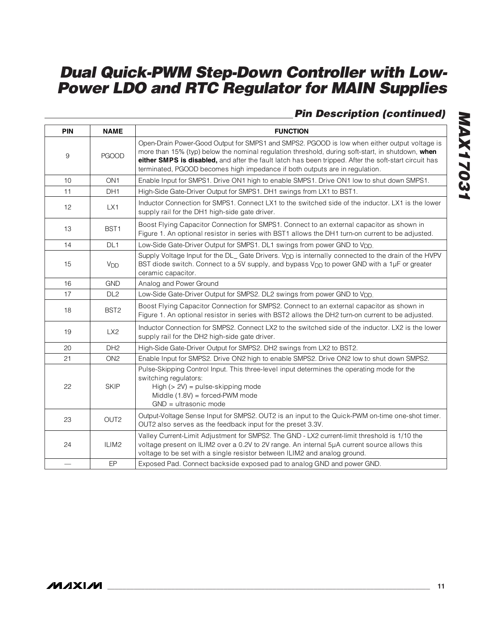## **Pin Description (continued)**

| <b>PIN</b>               | <b>NAME</b>           | <b>FUNCTION</b>                                                                                                                                                                                                                                                                                                                                                                          |
|--------------------------|-----------------------|------------------------------------------------------------------------------------------------------------------------------------------------------------------------------------------------------------------------------------------------------------------------------------------------------------------------------------------------------------------------------------------|
| $\boldsymbol{9}$         | <b>PGOOD</b>          | Open-Drain Power-Good Output for SMPS1 and SMPS2. PGOOD is low when either output voltage is<br>more than 15% (typ) below the nominal regulation threshold, during soft-start, in shutdown, when<br>either SMPS is disabled, and after the fault latch has been tripped. After the soft-start circuit has<br>terminated, PGOOD becomes high impedance if both outputs are in regulation. |
| 10                       | ON <sub>1</sub>       | Enable Input for SMPS1. Drive ON1 high to enable SMPS1. Drive ON1 low to shut down SMPS1.                                                                                                                                                                                                                                                                                                |
| 11                       | DH <sub>1</sub>       | High-Side Gate-Driver Output for SMPS1. DH1 swings from LX1 to BST1.                                                                                                                                                                                                                                                                                                                     |
| 12                       | LX1                   | Inductor Connection for SMPS1. Connect LX1 to the switched side of the inductor. LX1 is the lower<br>supply rail for the DH1 high-side gate driver.                                                                                                                                                                                                                                      |
| 13                       | BST <sub>1</sub>      | Boost Flying Capacitor Connection for SMPS1. Connect to an external capacitor as shown in<br>Figure 1. An optional resistor in series with BST1 allows the DH1 turn-on current to be adjusted.                                                                                                                                                                                           |
| 14                       | DL <sub>1</sub>       | Low-Side Gate-Driver Output for SMPS1. DL1 swings from power GND to V <sub>DD.</sub>                                                                                                                                                                                                                                                                                                     |
| 15                       | <b>V<sub>DD</sub></b> | Supply Voltage Input for the DL_ Gate Drivers. V <sub>DD</sub> is internally connected to the drain of the HVPV<br>BST diode switch. Connect to a 5V supply, and bypass V <sub>DD</sub> to power GND with a 1µF or greater<br>ceramic capacitor.                                                                                                                                         |
| 16                       | <b>GND</b>            | Analog and Power Ground                                                                                                                                                                                                                                                                                                                                                                  |
| 17                       | DL <sub>2</sub>       | Low-Side Gate-Driver Output for SMPS2. DL2 swings from power GND to V <sub>DD.</sub>                                                                                                                                                                                                                                                                                                     |
| 18                       | BST <sub>2</sub>      | Boost Flying Capacitor Connection for SMPS2. Connect to an external capacitor as shown in<br>Figure 1. An optional resistor in series with BST2 allows the DH2 turn-on current to be adjusted.                                                                                                                                                                                           |
| 19                       | LX2                   | Inductor Connection for SMPS2. Connect LX2 to the switched side of the inductor. LX2 is the lower<br>supply rail for the DH2 high-side gate driver.                                                                                                                                                                                                                                      |
| 20                       | DH <sub>2</sub>       | High-Side Gate-Driver Output for SMPS2. DH2 swings from LX2 to BST2.                                                                                                                                                                                                                                                                                                                     |
| 21                       | ON <sub>2</sub>       | Enable Input for SMPS2. Drive ON2 high to enable SMPS2. Drive ON2 low to shut down SMPS2.                                                                                                                                                                                                                                                                                                |
| 22                       | <b>SKIP</b>           | Pulse-Skipping Control Input. This three-level input determines the operating mode for the<br>switching regulators:<br>High $(> 2V)$ = pulse-skipping mode<br>Middle $(1.8V)$ = forced-PWM mode<br>$GND = ultrasonic mode$                                                                                                                                                               |
| 23                       | OUT <sub>2</sub>      | Output-Voltage Sense Input for SMPS2. OUT2 is an input to the Quick-PWM on-time one-shot timer.<br>OUT2 also serves as the feedback input for the preset 3.3V.                                                                                                                                                                                                                           |
| 24                       | ILIM <sub>2</sub>     | Valley Current-Limit Adjustment for SMPS2. The GND - LX2 current-limit threshold is 1/10 the<br>voltage present on ILIM2 over a 0.2V to 2V range. An internal 5µA current source allows this<br>voltage to be set with a single resistor between ILIM2 and analog ground.                                                                                                                |
| $\overline{\phantom{0}}$ | EP                    | Exposed Pad. Connect backside exposed pad to analog GND and power GND.                                                                                                                                                                                                                                                                                                                   |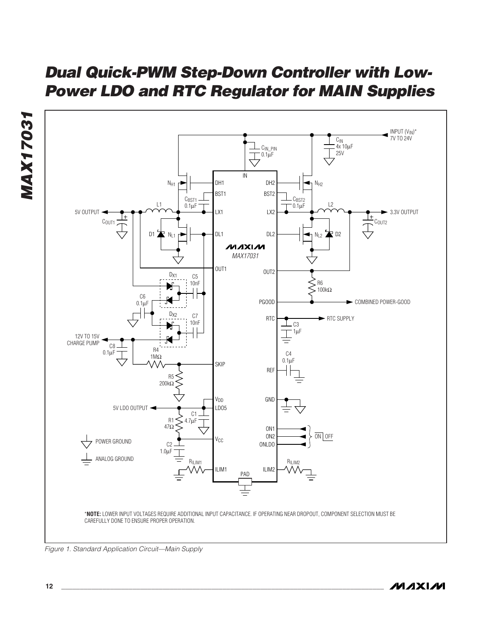

**MAX17031**

**MAX17031**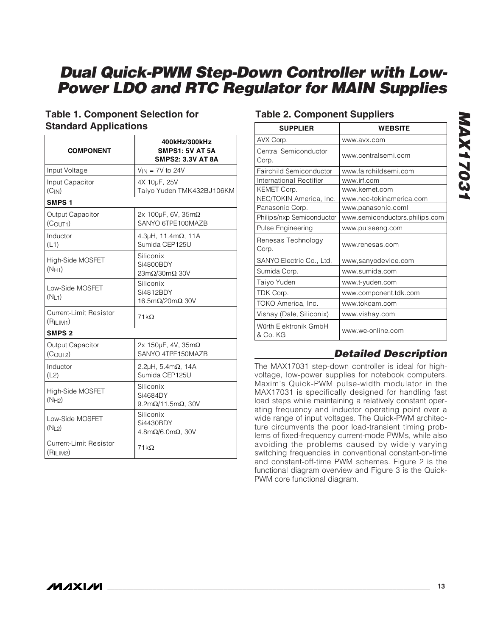## **Table 1. Component Selection for Standard Applications**

| <b>COMPONENT</b>                                       | 400kHz/300kHz<br><b>SMPS1: 5V AT 5A</b><br><b>SMPS2: 3.3V AT 8A</b>     |
|--------------------------------------------------------|-------------------------------------------------------------------------|
| Input Voltage                                          | $V_{IN}$ = 7V to 24V                                                    |
| Input Capacitor<br>(C <sub>IN</sub> )                  | 4X 10µF, 25V<br>Taiyo Yuden TMK432BJ106KM                               |
| SMPS <sub>1</sub>                                      |                                                                         |
| Output Capacitor<br>(C <sub>OUT1</sub> )               | 2x 100 $\mu$ F, 6V, 35m $\Omega$<br>SANYO 6TPE100MAZB                   |
| Inductor<br>(L1)                                       | 4.3 $\mu$ H, 11.4m $\Omega$ , 11A<br>Sumida CEP125U                     |
| High-Side MOSFET<br>(NH1)                              | Siliconix<br>Si4800BDY<br>$23m\Omega/30m\Omega$ 30V                     |
| Low-Side MOSFET<br>(NL1)                               | Siliconix<br>Si4812BDY<br>16.5m $\Omega$ /20m $\Omega$ 30V              |
| Current-Limit Resistor<br>(R <sub>ILIM1</sub> )        | $71k\Omega$                                                             |
| <b>SMPS 2</b>                                          |                                                                         |
| Output Capacitor<br>(COUT2)                            | 2x 150 $\mu$ F, 4V, 35m $\Omega$<br>SANYO 4TPF150MAZB                   |
| Inductor<br>(L2)                                       | 2.2 $\mu$ H, 5.4m $\Omega$ , 14A<br>Sumida CEP125U                      |
| High-Side MOSFET<br>(NH2)                              | Siliconix<br>Si4684DY<br>$9.2 \text{m}\Omega/11.5 \text{m}\Omega$ , 30V |
| Low-Side MOSFET<br>(N <sub>L2</sub> )                  | Siliconix<br>Si4430BDY<br>4.8m $\Omega$ /6.0m $\Omega$ , 30V            |
| <b>Current-Limit Resistor</b><br>(R <sub>ILIM2</sub> ) | $71k\Omega$                                                             |

## **Table 2. Component Suppliers**

| <b>SUPPLIER</b>                   | <b>WEBSITE</b>                 |  |
|-----------------------------------|--------------------------------|--|
| AVX Corp.                         | www.avx.com                    |  |
| Central Semiconductor<br>Corp.    | www.centralsemi.com            |  |
| Fairchild Semiconductor           | www.fairchildsemi.com          |  |
| International Rectifier           | www.irf.com                    |  |
| KEMET Corp.                       | www.kemet.com                  |  |
| NEC/TOKIN America, Inc.           | www.nec-tokinamerica.com       |  |
| Panasonic Corp.                   | www.panasonic.coml             |  |
| Philips/nxp Semiconductor         | www.semiconductors.philips.com |  |
| <b>Pulse Engineering</b>          | www.pulseeng.com               |  |
| Renesas Technology<br>Corp.       | www.renesas.com                |  |
| SANYO Electric Co., Ltd.          | www,sanyodevice.com            |  |
| Sumida Corp.                      | www.sumida.com                 |  |
| Taiyo Yuden                       | www.t-yuden.com                |  |
| TDK Corp.                         | www.component.tdk.com          |  |
| TOKO America, Inc.                | www.tokoam.com                 |  |
| Vishay (Dale, Siliconix)          | www.vishay.com                 |  |
| Würth Elektronik GmbH<br>& Co. KG | www.we-online.com              |  |

## **Detailed Description**

The MAX17031 step-down controller is ideal for highvoltage, low-power supplies for notebook computers. Maxim's Quick-PWM pulse-width modulator in the MAX17031 is specifically designed for handling fast load steps while maintaining a relatively constant operating frequency and inductor operating point over a wide range of input voltages. The Quick-PWM architecture circumvents the poor load-transient timing problems of fixed-frequency current-mode PWMs, while also avoiding the problems caused by widely varying switching frequencies in conventional constant-on-time and constant-off-time PWM schemes. Figure 2 is the functional diagram overview and Figure 3 is the Quick-PWM core functional diagram.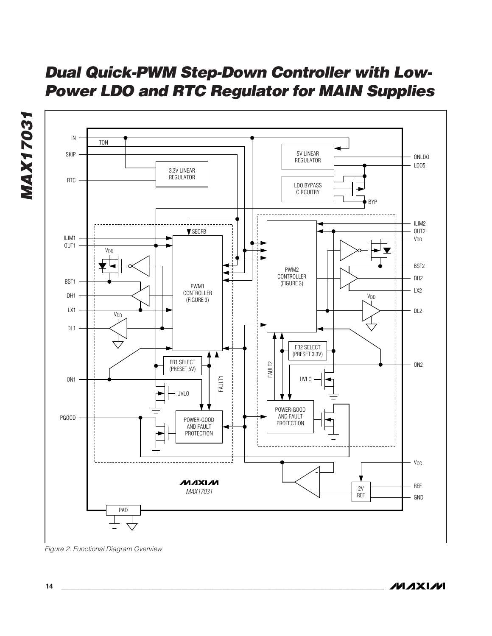

Figure 2. Functional Diagram Overview

**MAXIM** 

**MAX17031**

**MAX17031**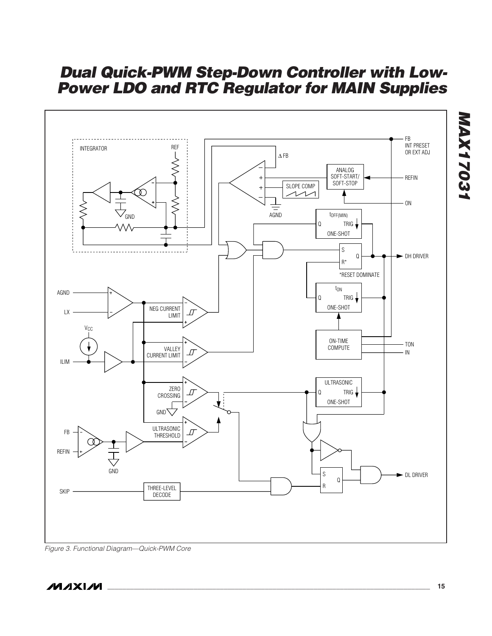

Figure 3. Functional Diagram—Quick-PWM Core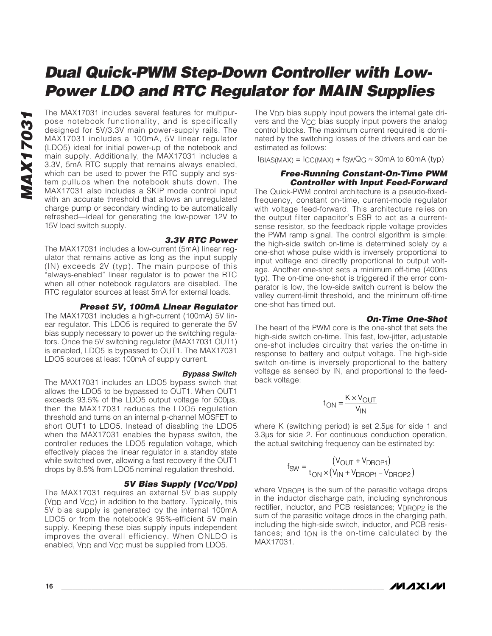The MAX17031 includes several features for multipur-<br>pose notebook functionality, and is specifically<br>designed for 5V/3.3V main power-supply rails. The<br>MAX17031 includes a 100mA, 5V linear regulator<br>(LDO5) ideal for initia pose notebook functionality, and is specifically designed for 5V/3.3V main power-supply rails. The MAX17031 includes a 100mA, 5V linear regulator (LDO5) ideal for initial power-up of the notebook and main supply. Additionally, the MAX17031 includes a 3.3V, 5mA RTC supply that remains always enabled, which can be used to power the RTC supply and system pullups when the notebook shuts down. The MAX17031 also includes a SKIP mode control input with an accurate threshold that allows an unregulated charge pump or secondary winding to be automatically refreshed—ideal for generating the low-power 12V to 15V load switch supply.

#### **3.3V RTC Power**

The MAX17031 includes a low-current (5mA) linear regulator that remains active as long as the input supply (IN) exceeds 2V (typ). The main purpose of this "always-enabled" linear regulator is to power the RTC when all other notebook regulators are disabled. The RTC regulator sources at least 5mA for external loads.

#### **Preset 5V, 100mA Linear Regulator**

The MAX17031 includes a high-current (100mA) 5V linear regulator. This LDO5 is required to generate the 5V bias supply necessary to power up the switching regulators. Once the 5V switching regulator (MAX17031 OUT1) is enabled, LDO5 is bypassed to OUT1. The MAX17031 LDO5 sources at least 100mA of supply current.

#### **Bypass Switch**

The MAX17031 includes an LDO5 bypass switch that allows the LDO5 to be bypassed to OUT1. When OUT1 exceeds 93.5% of the LDO5 output voltage for 500µs, then the MAX17031 reduces the LDO5 regulation threshold and turns on an internal p-channel MOSFET to short OUT1 to LDO5. Instead of disabling the LDO5 when the MAX17031 enables the bypass switch, the controller reduces the LDO5 regulation voltage, which effectively places the linear regulator in a standby state while switched over, allowing a fast recovery if the OUT1 drops by 8.5% from LDO5 nominal regulation threshold.

#### **5V Bias Supply (VCC/VDD)**

The MAX17031 requires an external 5V bias supply (VDD and VCC) in addition to the battery. Typically, this 5V bias supply is generated by the internal 100mA LDO5 or from the notebook's 95%-efficient 5V main supply. Keeping these bias supply inputs independent improves the overall efficiency. When ONLDO is enabled, V<sub>DD</sub> and V<sub>CC</sub> must be supplied from LDO5.

The V<sub>DD</sub> bias supply input powers the internal gate drivers and the V<sub>CC</sub> bias supply input powers the analog control blocks. The maximum current required is dominated by the switching losses of the drivers and can be estimated as follows:

 $I_{\text{BIAS(MAX)}} = I_{\text{CC(MAX)}} + f_{\text{SWQG}} \approx 30 \text{mA}$  to 60 mA (typ)

#### **Free-Running Constant-On-Time PWM Controller with Input Feed-Forward**

The Quick-PWM control architecture is a pseudo-fixedfrequency, constant on-time, current-mode regulator with voltage feed-forward. This architecture relies on the output filter capacitor's ESR to act as a currentsense resistor, so the feedback ripple voltage provides the PWM ramp signal. The control algorithm is simple: the high-side switch on-time is determined solely by a one-shot whose pulse width is inversely proportional to input voltage and directly proportional to output voltage. Another one-shot sets a minimum off-time (400ns typ). The on-time one-shot is triggered if the error comparator is low, the low-side switch current is below the valley current-limit threshold, and the minimum off-time one-shot has timed out.

#### **On-Time One-Shot**

The heart of the PWM core is the one-shot that sets the high-side switch on-time. This fast, low-jitter, adjustable one-shot includes circuitry that varies the on-time in response to battery and output voltage. The high-side switch on-time is inversely proportional to the battery voltage as sensed by IN, and proportional to the feedback voltage:

$$
t_{ON} = \frac{K \times V_{OUT}}{V_{IN}}
$$

where K (switching period) is set 2.5µs for side 1 and 3.3µs for side 2. For continuous conduction operation, the actual switching frequency can be estimated by:

$$
f_{SW} = \frac{(V_{OUT} + V_{DROP1})}{t_{ON} \times (V_{IN} + V_{DROP1} - V_{DROP2})}
$$

where V<sub>DROP1</sub> is the sum of the parasitic voltage drops in the inductor discharge path, including synchronous rectifier, inductor, and PCB resistances; V<sub>DROP2</sub> is the sum of the parasitic voltage drops in the charging path, including the high-side switch, inductor, and PCB resis $t$ ances; and  $t$ <sub>ON</sub> is the on-time calculated by the MAX17031.

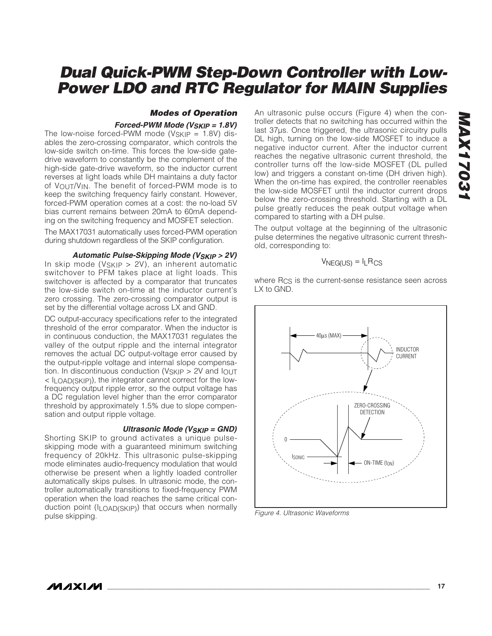#### **Modes of Operation**

#### **Forced-PWM Mode (VSKIP = 1.8V)**

The low-noise forced-PWM mode ( $V_{SKIP} = 1.8V$ ) disables the zero-crossing comparator, which controls the low-side switch on-time. This forces the low-side gatedrive waveform to constantly be the complement of the high-side gate-drive waveform, so the inductor current reverses at light loads while DH maintains a duty factor of VOUT/VIN. The benefit of forced-PWM mode is to keep the switching frequency fairly constant. However, forced-PWM operation comes at a cost: the no-load 5V bias current remains between 20mA to 60mA depending on the switching frequency and MOSFET selection.

The MAX17031 automatically uses forced-PWM operation during shutdown regardless of the SKIP configuration.

**Automatic Pulse-Skipping Mode (VSKIP > 2V)**

In skip mode ( $V_{SKIP} > 2V$ ), an inherent automatic switchover to PFM takes place at light loads. This switchover is affected by a comparator that truncates the low-side switch on-time at the inductor current's zero crossing. The zero-crossing comparator output is set by the differential voltage across LX and GND.

DC output-accuracy specifications refer to the integrated threshold of the error comparator. When the inductor is in continuous conduction, the MAX17031 regulates the valley of the output ripple and the internal integrator removes the actual DC output-voltage error caused by the output-ripple voltage and internal slope compensation. In discontinuous conduction ( $V_{SKIP} > 2V$  and  $I_{OUT}$ < ILOAD(SKIP)), the integrator cannot correct for the lowfrequency output ripple error, so the output voltage has a DC regulation level higher than the error comparator threshold by approximately 1.5% due to slope compensation and output ripple voltage.

#### **Ultrasonic Mode (VSKIP = GND)**

Shorting SKIP to ground activates a unique pulseskipping mode with a guaranteed minimum switching frequency of 20kHz. This ultrasonic pulse-skipping mode eliminates audio-frequency modulation that would otherwise be present when a lightly loaded controller automatically skips pulses. In ultrasonic mode, the controller automatically transitions to fixed-frequency PWM operation when the load reaches the same critical conduction point (ILOAD(SKIP)) that occurs when normally pulse skipping.

An ultrasonic pulse occurs (Figure 4) when the controller detects that no switching has occurred within the last 37µs. Once triggered, the ultrasonic circuitry pulls DL high, turning on the low-side MOSFET to induce a negative inductor current. After the inductor current reaches the negative ultrasonic current threshold, the controller turns off the low-side MOSFET (DL pulled low) and triggers a constant on-time (DH driven high). When the on-time has expired, the controller reenables the low-side MOSFET until the inductor current drops below the zero-crossing threshold. Starting with a DL pulse greatly reduces the peak output voltage when compared to starting with a DH pulse.

The output voltage at the beginning of the ultrasonic pulse determines the negative ultrasonic current threshold, corresponding to:

$$
V_{NEG(US)} = I_L R_{CS}
$$

where R<sub>CS</sub> is the current-sense resistance seen across LX to GND.



Figure 4. Ultrasonic Waveforms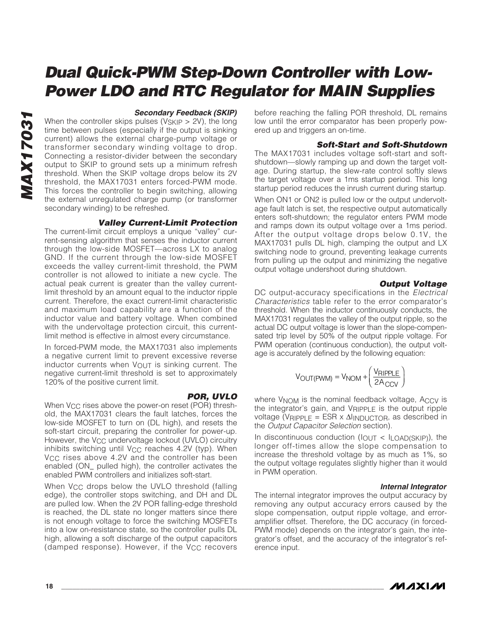#### **Secondary Feedback (SKIP)**

When the controller skips pulses ( $V_{SKIP} > 2V$ ), the long time between pulses (especially if the output is sinking current) allows the external charge-pump voltage or transformer secondary winding voltage to drop. Connecting a resistor-divider between the secondary output to SKIP to ground sets up a minimum refresh threshold. When the SKIP voltage drops below its 2V threshold, the MAX17031 enters forced-PWM mode. This forces the controller to begin switching, allowing the external unregulated charge pump (or transformer secondary winding) to be refreshed.

#### **Valley Current-Limit Protection**

The current-limit circuit employs a unique "valley" current-sensing algorithm that senses the inductor current through the low-side MOSFET—across LX to analog GND. If the current through the low-side MOSFET exceeds the valley current-limit threshold, the PWM controller is not allowed to initiate a new cycle. The actual peak current is greater than the valley currentlimit threshold by an amount equal to the inductor ripple current. Therefore, the exact current-limit characteristic and maximum load capability are a function of the inductor value and battery voltage. When combined with the undervoltage protection circuit, this currentlimit method is effective in almost every circumstance.

In forced-PWM mode, the MAX17031 also implements a negative current limit to prevent excessive reverse inductor currents when VOUT is sinking current. The negative current-limit threshold is set to approximately 120% of the positive current limit.

#### **POR, UVLO**

When V<sub>CC</sub> rises above the power-on reset (POR) threshold, the MAX17031 clears the fault latches, forces the low-side MOSFET to turn on (DL high), and resets the soft-start circuit, preparing the controller for power-up. However, the V<sub>CC</sub> undervoltage lockout (UVLO) circuitry inhibits switching until  $V_{CC}$  reaches 4.2V (typ). When V<sub>CC</sub> rises above 4.2V and the controller has been enabled (ON\_ pulled high), the controller activates the enabled PWM controllers and initializes soft-start.

When V<sub>CC</sub> drops below the UVLO threshold (falling edge), the controller stops switching, and DH and DL are pulled low. When the 2V POR falling-edge threshold is reached, the DL state no longer matters since there is not enough voltage to force the switching MOSFETs into a low on-resistance state, so the controller pulls DL high, allowing a soft discharge of the output capacitors (damped response). However, if the V<sub>CC</sub> recovers

before reaching the falling POR threshold, DL remains low until the error comparator has been properly powered up and triggers an on-time.

#### **Soft-Start and Soft-Shutdown**

The MAX17031 includes voltage soft-start and softshutdown—slowly ramping up and down the target voltage. During startup, the slew-rate control softly slews the target voltage over a 1ms startup period. This long startup period reduces the inrush current during startup.

When ON1 or ON2 is pulled low or the output undervoltage fault latch is set, the respective output automatically enters soft-shutdown; the regulator enters PWM mode and ramps down its output voltage over a 1ms period. After the output voltage drops below 0.1V, the MAX17031 pulls DL high, clamping the output and LX switching node to ground, preventing leakage currents from pulling up the output and minimizing the negative output voltage undershoot during shutdown.

#### **Output Voltage**

DC output-accuracy specifications in the Electrical Characteristics table refer to the error comparator's threshold. When the inductor continuously conducts, the MAX17031 regulates the valley of the output ripple, so the actual DC output voltage is lower than the slope-compensated trip level by 50% of the output ripple voltage. For PWM operation (continuous conduction), the output voltage is accurately defined by the following equation:

$$
V_{\text{OUT}}(PWM) = V_{\text{NOM}} + \left(\frac{V_{\text{RIPPLE}}}{2A_{\text{CCV}}}\right)
$$

where V<sub>NOM</sub> is the nominal feedback voltage, ACCV is the integrator's gain, and VRIPPLE is the output ripple voltage (VRIPPLE = ESR x  $\Delta$ IINDUCTOR, as described in the Output Capacitor Selection section).

In discontinuous conduction ( $I_{\text{OUT}}$  <  $I_{\text{LOAD(SKIP)}}$ ), the longer off-times allow the slope compensation to increase the threshold voltage by as much as 1%, so the output voltage regulates slightly higher than it would in PWM operation.

#### **Internal Integrator**

The internal integrator improves the output accuracy by removing any output accuracy errors caused by the slope compensation, output ripple voltage, and erroramplifier offset. Therefore, the DC accuracy (in forced-PWM mode) depends on the integrator's gain, the integrator's offset, and the accuracy of the integrator's reference input.

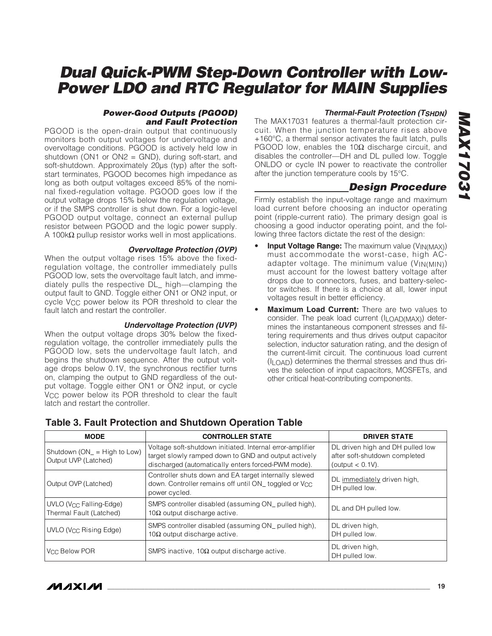# **MAX17031 MAX17031**

# **Dual Quick-PWM Step-Down Controller with Low-Power LDO and RTC Regulator for MAIN Supplies**

#### **Power-Good Outputs (PGOOD) and Fault Protection**

PGOOD is the open-drain output that continuously monitors both output voltages for undervoltage and overvoltage conditions. PGOOD is actively held low in shutdown (ON1 or ON2 = GND), during soft-start, and soft-shutdown. Approximately 20us (typ) after the softstart terminates, PGOOD becomes high impedance as long as both output voltages exceed 85% of the nominal fixed-regulation voltage. PGOOD goes low if the output voltage drops 15% below the regulation voltage, or if the SMPS controller is shut down. For a logic-level PGOOD output voltage, connect an external pullup resistor between PGOOD and the logic power supply. A 100kΩ pullup resistor works well in most applications.

#### **Overvoltage Protection (OVP)**

When the output voltage rises 15% above the fixedregulation voltage, the controller immediately pulls PGOOD low, sets the overvoltage fault latch, and immediately pulls the respective DL\_ high—clamping the output fault to GND. Toggle either ON1 or ON2 input, or cycle V<sub>CC</sub> power below its POR threshold to clear the fault latch and restart the controller.

#### **Undervoltage Protection (UVP)**

When the output voltage drops 30% below the fixedregulation voltage, the controller immediately pulls the PGOOD low, sets the undervoltage fault latch, and begins the shutdown sequence. After the output voltage drops below 0.1V, the synchronous rectifier turns on, clamping the output to GND regardless of the output voltage. Toggle either ON1 or ON2 input, or cycle V<sub>CC</sub> power below its POR threshold to clear the fault latch and restart the controller.

#### **Thermal-Fault Protection (TSHDN)**

The MAX17031 features a thermal-fault protection circuit. When the junction temperature rises above +160°C, a thermal sensor activates the fault latch, pulls PGOOD low, enables the 10Ω discharge circuit, and disables the controller—DH and DL pulled low. Toggle ONLDO or cycle IN power to reactivate the controller after the junction temperature cools by 15°C.

## **Design Procedure**

Firmly establish the input-voltage range and maximum load current before choosing an inductor operating point (ripple-current ratio). The primary design goal is choosing a good inductor operating point, and the following three factors dictate the rest of the design:

- **Input Voltage Range:** The maximum value (V<sub>IN(MAX)</sub>) must accommodate the worst-case, high ACadapter voltage. The minimum value (VIN(MIN)) must account for the lowest battery voltage after drops due to connectors, fuses, and battery-selector switches. If there is a choice at all, lower input voltages result in better efficiency.
- **Maximum Load Current:** There are two values to consider. The peak load current (I<sub>LOAD(MAX)</sub>) determines the instantaneous component stresses and filtering requirements and thus drives output capacitor selection, inductor saturation rating, and the design of the current-limit circuit. The continuous load current (ILOAD) determines the thermal stresses and thus drives the selection of input capacitors, MOSFETs, and other critical heat-contributing components.

| <b>MODE</b>                                                | <b>CONTROLLER STATE</b>                                                                                                                                                 | <b>DRIVER STATE</b>                                                                      |  |
|------------------------------------------------------------|-------------------------------------------------------------------------------------------------------------------------------------------------------------------------|------------------------------------------------------------------------------------------|--|
| Shutdown $(ON_{-} = High to Low)$<br>Output UVP (Latched)  | Voltage soft-shutdown initiated. Internal error-amplifier<br>target slowly ramped down to GND and output actively<br>discharged (automatically enters forced-PWM mode). | DL driven high and DH pulled low<br>after soft-shutdown completed<br>(output $< 0.1V$ ). |  |
| Output OVP (Latched)                                       | Controller shuts down and EA target internally slewed<br>down. Controller remains off until ON toggled or V <sub>CC</sub><br>power cycled.                              | DL immediately driven high,<br>DH pulled low.                                            |  |
| $UVLO$ ( $V_{CC}$ Falling-Edge)<br>Thermal Fault (Latched) | SMPS controller disabled (assuming ON_pulled high),<br>$10Ω$ output discharge active.                                                                                   | DL and DH pulled low.                                                                    |  |
| UVLO (Vcc Rising Edge)                                     | SMPS controller disabled (assuming ON_pulled high),<br>$10Ω$ output discharge active.                                                                                   | DL driven high,<br>DH pulled low.                                                        |  |
| Vcc Below POR                                              | SMPS inactive, $10\Omega$ output discharge active.                                                                                                                      | DL driven high,<br>DH pulled low.                                                        |  |

## **Table 3. Fault Protection and Shutdown Operation Table**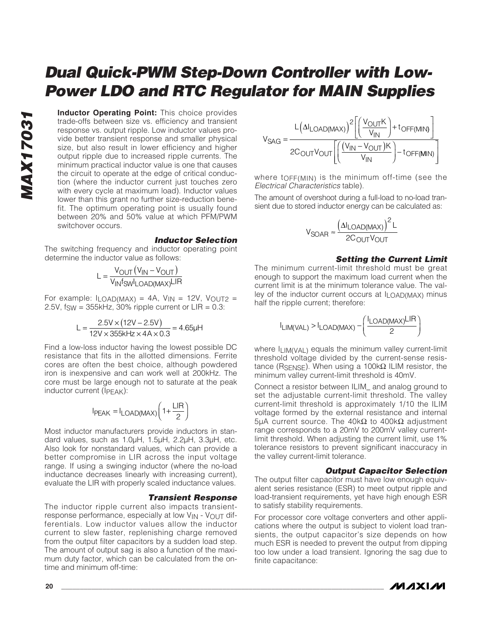**Inductor Operating Point:** This choice provides trade-offs between size vs. efficiency and transient response vs. output ripple. Low inductor values provide better transient response and smaller physical size, but also result in lower efficiency and higher output ripple due to increased ripple currents. The minimum practical inductor value is one that causes the circuit to operate at the edge of critical conduction (where the inductor current just touches zero with every cycle at maximum load). Inductor values lower than this grant no further size-reduction benefit. The optimum operating point is usually found between 20% and 50% value at which PFM/PWM switchover occurs.

#### **Inductor Selection**

The switching frequency and inductor operating point determine the inductor value as follows:

$$
L = \frac{V_{OUT}(V_{IN} - V_{OUT})}{V_{IN}f_{SW}I_{LOAD(MAX)}LIR}
$$

For example:  $I_{LOAD(MAX)} = 4A$ ,  $V_{IN} = 12V$ ,  $V_{OUT2} =$ 2.5V,  $f_{SW} = 355$ kHz, 30% ripple current or  $LIR = 0.3$ :

$$
L = \frac{2.5V \times (12V - 2.5V)}{12V \times 355kHz \times 4A \times 0.3} = 4.65\mu H
$$

Find a low-loss inductor having the lowest possible DC resistance that fits in the allotted dimensions. Ferrite cores are often the best choice, although powdered iron is inexpensive and can work well at 200kHz. The core must be large enough not to saturate at the peak inductor current (IPEAK):

$$
I_{PEAK} = I_{LOAD(MAX)} \left( 1 + \frac{LIR}{2} \right)
$$

Most inductor manufacturers provide inductors in standard values, such as 1.0µH, 1.5µH, 2.2µH, 3.3µH, etc. Also look for nonstandard values, which can provide a better compromise in LIR across the input voltage range. If using a swinging inductor (where the no-load inductance decreases linearly with increasing current), evaluate the LIR with properly scaled inductance values.

#### **Transient Response**

The inductor ripple current also impacts transientresponse performance, especially at low  $V_{IN}$  -  $V_{OUIT}$  differentials. Low inductor values allow the inductor current to slew faster, replenishing charge removed from the output filter capacitors by a sudden load step. The amount of output sag is also a function of the maximum duty factor, which can be calculated from the ontime and minimum off-time:

$$
V_{SAG} = \frac{L(\Delta I_{LOAD(MAX)})^2 \left[ \left( \frac{V_{OUT}K}{V_{IN}} \right) + t_{OFF(MIN)} \right]}{2C_{OUT}V_{OUT} \left[ \left( \frac{(V_{IN} - V_{OUT})K}{V_{IN}} \right) - t_{OFF(MIN)} \right]}
$$

where tOFF(MIN) is the minimum off-time (see the Electrical Characteristics table).

The amount of overshoot during a full-load to no-load transient due to stored inductor energy can be calculated as:

$$
V_{SOAR} \approx \frac{\left(\Delta I_{LOAD(MAX)}\right)^2 L}{2C_{OUT}V_{OUT}}
$$

#### **Setting the Current Limit**

The minimum current-limit threshold must be great enough to support the maximum load current when the current limit is at the minimum tolerance value. The valley of the inductor current occurs at ILOAD(MAX) minus half the ripple current; therefore:

$$
I_{LIM(VAL)} > I_{LOAD(MAX)} - \left(\frac{I_{LOAD(MAX)}LIR}{2}\right)
$$

where  $I_{LIM}(VAL)$  equals the minimum valley current-limit threshold voltage divided by the current-sense resistance (RSENSE). When using a 100kΩ ILIM resistor, the minimum valley current-limit threshold is 40mV.

Connect a resistor between ILIM\_ and analog ground to set the adjustable current-limit threshold. The valley current-limit threshold is approximately 1/10 the ILIM voltage formed by the external resistance and internal 5μA current source. The  $40kΩ$  to  $400kΩ$  adjustment range corresponds to a 20mV to 200mV valley currentlimit threshold. When adjusting the current limit, use 1% tolerance resistors to prevent significant inaccuracy in the valley current-limit tolerance.

#### **Output Capacitor Selection**

The output filter capacitor must have low enough equivalent series resistance (ESR) to meet output ripple and load-transient requirements, yet have high enough ESR to satisfy stability requirements.

For processor core voltage converters and other applications where the output is subject to violent load transients, the output capacitor's size depends on how much ESR is needed to prevent the output from dipping too low under a load transient. Ignoring the sag due to finite capacitance:

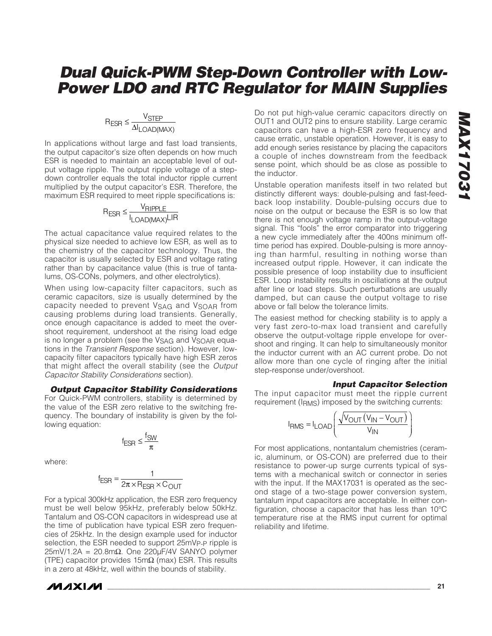#### $R_{\footnotesize{\text{ESR}}}\leq \frac{V_{\footnotesize{\text{STEP}}}}{\Delta I_{\footnotesize{\text{I}}\ \text{OAD/N}}}$ LOAD(MAX  $\leq \frac{V \text{STEP}}{\Delta I_{\text{LOAD(MAX)}}}$

In applications without large and fast load transients, the output capacitor's size often depends on how much ESR is needed to maintain an acceptable level of output voltage ripple. The output ripple voltage of a stepdown controller equals the total inductor ripple current multiplied by the output capacitor's ESR. Therefore, the maximum ESR required to meet ripple specifications is:

#### $R_{\footnotesize{\text{ESR}}}\leq \frac{V_{\footnotesize{\text{RIPPLE}}}}{I_{\footnotesize{\text{LOAD} (MAX)}}\textsf{LIR}}$ LOAD(MAX ≤ (MAX)

The actual capacitance value required relates to the physical size needed to achieve low ESR, as well as to the chemistry of the capacitor technology. Thus, the capacitor is usually selected by ESR and voltage rating rather than by capacitance value (this is true of tantalums, OS-CONs, polymers, and other electrolytics).

When using low-capacity filter capacitors, such as ceramic capacitors, size is usually determined by the capacity needed to prevent VSAG and VSOAR from causing problems during load transients. Generally, once enough capacitance is added to meet the overshoot requirement, undershoot at the rising load edge is no longer a problem (see the V<sub>SAG</sub> and V<sub>SOAR</sub> equations in the Transient Response section). However, lowcapacity filter capacitors typically have high ESR zeros that might affect the overall stability (see the Output Capacitor Stability Considerations section).

#### **Output Capacitor Stability Considerations** For Quick-PWM controllers, stability is determined by the value of the ESR zero relative to the switching frequency. The boundary of instability is given by the fol-

$$
f_{ESR} \leq \frac{f_{SW}}{\pi}
$$

where:

lowing equation:

$$
f_{ESR} = \frac{1}{2\pi \times R_{ESR} \times C_{OUT}}
$$

For a typical 300kHz application, the ESR zero frequency must be well below 95kHz, preferably below 50kHz. Tantalum and OS-CON capacitors in widespread use at the time of publication have typical ESR zero frequencies of 25kHz. In the design example used for inductor selection, the ESR needed to support 25mVp-p ripple is 25mV/1.2A = 20.8mΩ. One 220µF/4V SANYO polymer (TPE) capacitor provides 15mΩ (max) ESR. This results in a zero at 48kHz, well within the bounds of stability.



Do not put high-value ceramic capacitors directly on OUT1 and OUT2 pins to ensure stability. Large ceramic capacitors can have a high-ESR zero frequency and cause erratic, unstable operation. However, it is easy to add enough series resistance by placing the capacitors a couple of inches downstream from the feedback sense point, which should be as close as possible to the inductor.

Unstable operation manifests itself in two related but distinctly different ways: double-pulsing and fast-feedback loop instability. Double-pulsing occurs due to noise on the output or because the ESR is so low that there is not enough voltage ramp in the output-voltage signal. This "fools" the error comparator into triggering a new cycle immediately after the 400ns minimum offtime period has expired. Double-pulsing is more annoying than harmful, resulting in nothing worse than increased output ripple. However, it can indicate the possible presence of loop instability due to insufficient ESR. Loop instability results in oscillations at the output after line or load steps. Such perturbations are usually damped, but can cause the output voltage to rise above or fall below the tolerance limits.

The easiest method for checking stability is to apply a very fast zero-to-max load transient and carefully observe the output-voltage ripple envelope for overshoot and ringing. It can help to simultaneously monitor the inductor current with an AC current probe. Do not allow more than one cycle of ringing after the initial step-response under/overshoot.

#### **Input Capacitor Selection**

The input capacitor must meet the ripple current requirement (IRMS) imposed by the switching currents:

$$
I_{RMS} = I_{LOAD} \left( \frac{\sqrt{V_{OUT} (V_{IN} - V_{OUT})}}{V_{IN}} \right)
$$

For most applications, nontantalum chemistries (ceramic, aluminum, or OS-CON) are preferred due to their resistance to power-up surge currents typical of systems with a mechanical switch or connector in series with the input. If the MAX17031 is operated as the second stage of a two-stage power conversion system, tantalum input capacitors are acceptable. In either configuration, choose a capacitor that has less than 10°C temperature rise at the RMS input current for optimal reliability and lifetime.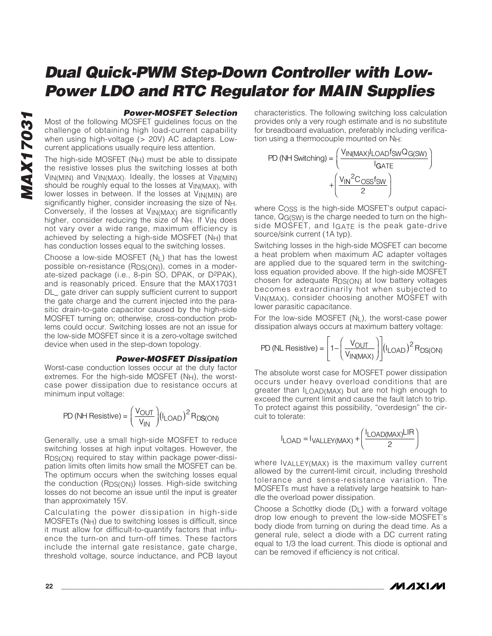#### **Power-MOSFET Selection**

Most of the following MOSFET guidelines focus on the challenge of obtaining high load-current capability when using high-voltage (> 20V) AC adapters. Lowcurrent applications usually require less attention.

The high-side MOSFET (NH) must be able to dissipate the resistive losses plus the switching losses at both VIN(MIN) and VIN(MAX). Ideally, the losses at VIN(MIN) should be roughly equal to the losses at  $V_{IN(MAX)}$ , with lower losses in between. If the losses at  $V_{IN(MIN)}$  are significantly higher, consider increasing the size of NH. Conversely, if the losses at VIN(MAX) are significantly higher, consider reducing the size of N<sub>H</sub>. If V<sub>IN</sub> does not vary over a wide range, maximum efficiency is achieved by selecting a high-side MOSFET (NH) that has conduction losses equal to the switching losses.

Choose a low-side MOSFET  $(N<sub>L</sub>)$  that has the lowest possible on-resistance (RDS(ON)), comes in a moderate-sized package (i.e., 8-pin SO, DPAK, or D2PAK), and is reasonably priced. Ensure that the MAX17031 DL\_ gate driver can supply sufficient current to support the gate charge and the current injected into the parasitic drain-to-gate capacitor caused by the high-side MOSFET turning on; otherwise, cross-conduction problems could occur. Switching losses are not an issue for the low-side MOSFET since it is a zero-voltage switched device when used in the step-down topology.

#### **Power-MOSFET Dissipation**

Worst-case conduction losses occur at the duty factor extremes. For the high-side MOSFET  $(N_H)$ , the worstcase power dissipation due to resistance occurs at minimum input voltage:

$$
PD(NH\;{Resistive}) = \left(\frac{V_{OUT}}{V_{IN}}\right) (I_{LOAD})^2 R_{DS(ON)}
$$

Generally, use a small high-side MOSFET to reduce switching losses at high input voltages. However, the RDS(ON) required to stay within package power-dissipation limits often limits how small the MOSFET can be. The optimum occurs when the switching losses equal the conduction  $(RDS(ON))$  losses. High-side switching losses do not become an issue until the input is greater than approximately 15V.

Calculating the power dissipation in high-side  $MOSFETS (N<sub>H</sub>)$  due to switching losses is difficult, since it must allow for difficult-to-quantify factors that influence the turn-on and turn-off times. These factors include the internal gate resistance, gate charge, threshold voltage, source inductance, and PCB layout characteristics. The following switching loss calculation provides only a very rough estimate and is no substitute for breadboard evaluation, preferably including verification using a thermocouple mounted on NH:



where COSS is the high-side MOSFET's output capacitance, QG(SW) is the charge needed to turn on the highside MOSFET, and IGATE is the peak gate-drive source/sink current (1A typ).

Switching losses in the high-side MOSFET can become a heat problem when maximum AC adapter voltages are applied due to the squared term in the switchingloss equation provided above. If the high-side MOSFET chosen for adequate RDS(ON) at low battery voltages becomes extraordinarily hot when subjected to VIN(MAX), consider choosing another MOSFET with lower parasitic capacitance.

For the low-side MOSFET (NL), the worst-case power dissipation always occurs at maximum battery voltage:

$$
PD(NL \text{ Resistance}) = \left[1 - \left(\frac{V_{OUT}}{V_{IN(MAX)}}\right)\right] (I_{LOAD})^2 R_{DS(ON)}
$$

The absolute worst case for MOSFET power dissipation occurs under heavy overload conditions that are greater than ILOAD(MAX) but are not high enough to exceed the current limit and cause the fault latch to trip. To protect against this possibility, "overdesign" the circuit to tolerate:

$$
I_{\text{LOAD}} = I_{\text{VALLEY(MAX)}} + \left(\frac{I_{\text{LOAD(MAX)}}}{2}\right)
$$

where IVALLEY(MAX) is the maximum valley current allowed by the current-limit circuit, including threshold tolerance and sense-resistance variation. The MOSFETs must have a relatively large heatsink to handle the overload power dissipation.

Choose a Schottky diode  $(D_1)$  with a forward voltage drop low enough to prevent the low-side MOSFET's body diode from turning on during the dead time. As a general rule, select a diode with a DC current rating equal to 1/3 the load current. This diode is optional and can be removed if efficiency is not critical.

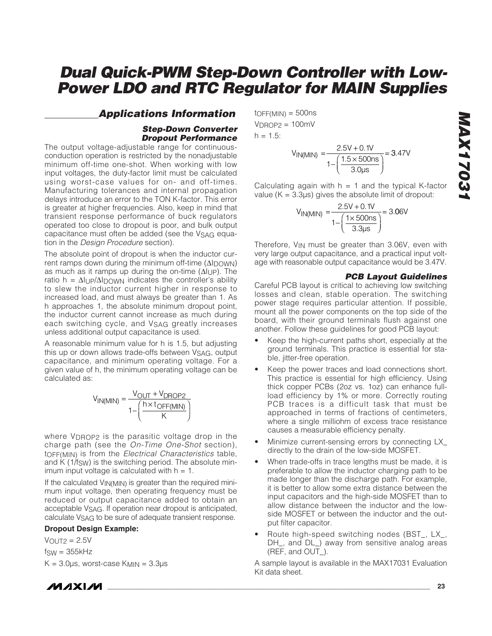#### **Applications Information**

#### **Step-Down Converter Dropout Performance**

The output voltage-adjustable range for continuousconduction operation is restricted by the nonadjustable minimum off-time one-shot. When working with low input voltages, the duty-factor limit must be calculated using worst-case values for on- and off-times. Manufacturing tolerances and internal propagation delays introduce an error to the TON K-factor. This error is greater at higher frequencies. Also, keep in mind that transient response performance of buck regulators operated too close to dropout is poor, and bulk output capacitance must often be added (see the VSAG equation in the Design Procedure section).

The absolute point of dropout is when the inductor current ramps down during the minimum off-time  $(\Delta I_D \cap W_N)$ as much as it ramps up during the on-time (ΔIUP). The ratio h =  $\Delta I \cup P/\Delta I$  nown indicates the controller's ability to slew the inductor current higher in response to increased load, and must always be greater than 1. As h approaches 1, the absolute minimum dropout point, the inductor current cannot increase as much during each switching cycle, and VSAG greatly increases unless additional output capacitance is used.

A reasonable minimum value for h is 1.5, but adjusting this up or down allows trade-offs between VSAG, output capacitance, and minimum operating voltage. For a given value of h, the minimum operating voltage can be calculated as:

$$
V_{IN(MIN)} = \frac{V_{OUT} + V_{DROP2}}{1 - \left(\frac{h \times t_{OFF(MIN)}}{K}\right)}
$$

where V<sub>DROP2</sub> is the parasitic voltage drop in the charge path (see the On-Time One-Shot section), tOFF(MIN) is from the Electrical Characteristics table, and K (1/fsw) is the switching period. The absolute minimum input voltage is calculated with  $h = 1$ .

If the calculated  $V_{IN(MIN)}$  is greater than the required minimum input voltage, then operating frequency must be reduced or output capacitance added to obtain an acceptable VSAG. If operation near dropout is anticipated, calculate VSAG to be sure of adequate transient response.

#### **Dropout Design Example:**

 $V$ OUT $2 = 2.5V$  $f_{SW} = 355kHz$  $K = 3.0 \mu s$ , worst-case  $K_{MIN} = 3.3 \mu s$   $to$ FF(MIN) = 500ns  $V_{DROP2} = 100mV$  $h = 1.5$ :



Calculating again with  $h = 1$  and the typical K-factor value ( $K = 3.3\mu s$ ) gives the absolute limit of dropout:

$$
V_{IN(MIN)} = \frac{2.5V + 0.1V}{1 - \left(\frac{1 \times 500 \text{ns}}{3.3 \text{ps}}\right)} = 3.06V
$$

Therefore, V<sub>IN</sub> must be greater than 3.06V, even with very large output capacitance, and a practical input voltage with reasonable output capacitance would be 3.47V.

#### **PCB Layout Guidelines**

Careful PCB layout is critical to achieving low switching losses and clean, stable operation. The switching power stage requires particular attention. If possible, mount all the power components on the top side of the board, with their ground terminals flush against one another. Follow these guidelines for good PCB layout:

- Keep the high-current paths short, especially at the ground terminals. This practice is essential for stable, jitter-free operation.
- Keep the power traces and load connections short. This practice is essential for high efficiency. Using thick copper PCBs (2oz vs. 1oz) can enhance fullload efficiency by 1% or more. Correctly routing PCB traces is a difficult task that must be approached in terms of fractions of centimeters, where a single milliohm of excess trace resistance causes a measurable efficiency penalty.
- Minimize current-sensing errors by connecting LX\_ directly to the drain of the low-side MOSFET.
- When trade-offs in trace lengths must be made, it is preferable to allow the inductor charging path to be made longer than the discharge path. For example, it is better to allow some extra distance between the input capacitors and the high-side MOSFET than to allow distance between the inductor and the lowside MOSFET or between the inductor and the output filter capacitor.
- Route high-speed switching nodes (BST\_, LX\_, DH\_, and DL\_) away from sensitive analog areas (REF, and OUT\_).

A sample layout is available in the MAX17031 Evaluation Kit data sheet.